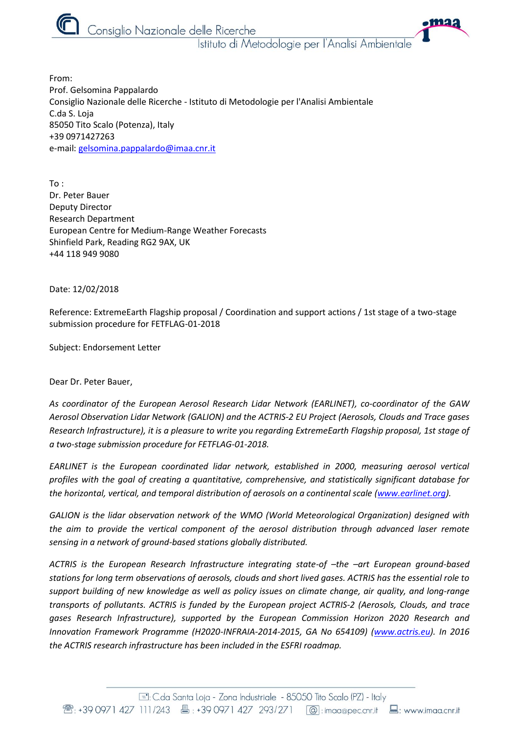

Consiglio Nazionale delle Ricerche

Istituto di Metodologie per l'Analisi Ambientale

•maa

From: Prof. Gelsomina Pappalardo Consiglio Nazionale delle Ricerche - Istituto di Metodologie per l'Analisi Ambientale C.da S. Loja 85050 Tito Scalo (Potenza), Italy +39 0971427263 e-mail: [gelsomina.pappalardo@imaa.cnr.it](mailto:gelsomina.pappalardo@imaa.cnr.it)

To : Dr. Peter Bauer Deputy Director Research Department European Centre for Medium-Range Weather Forecasts Shinfield Park, Reading RG2 9AX, UK +44 118 949 9080

Date: 12/02/2018

Reference: ExtremeEarth Flagship proposal / Coordination and support actions / 1st stage of a two-stage submission procedure for FETFLAG-01-2018

Subject: Endorsement Letter

Dear Dr. Peter Bauer,

*As coordinator of the European Aerosol Research Lidar Network (EARLINET), co-coordinator of the GAW Aerosol Observation Lidar Network (GALION) and the ACTRIS-2 EU Project (Aerosols, Clouds and Trace gases Research Infrastructure), it is a pleasure to write you regarding ExtremeEarth Flagship proposal, 1st stage of a two-stage submission procedure for FETFLAG-01-2018.*

*EARLINET is the European coordinated lidar network, established in 2000, measuring aerosol vertical profiles with the goal of creating a quantitative, comprehensive, and statistically significant database for the horizontal, vertical, and temporal distribution of aerosols on a continental scale [\(www.earlinet.org\)](http://www.earlinet.org/).* 

*GALION is the lidar observation network of the WMO (World Meteorological Organization) designed with the aim to provide the vertical component of the aerosol distribution through advanced laser remote sensing in a network of ground-based stations globally distributed.*

*ACTRIS is the European Research Infrastructure integrating state-of -the -art European ground-based stations for long term observations of aerosols, clouds and short lived gases. ACTRIS has the essential role to support building of new knowledge as well as policy issues on climate change, air quality, and long-range transports of pollutants. ACTRIS is funded by the European project ACTRIS-2 (Aerosols, Clouds, and trace gases Research Infrastructure), supported by the European Commission Horizon 2020 Research and Innovation Framework Programme (H2020-INFRAIA-2014-2015, GA No 654109) [\(www.actris.eu\)](http://www.actris.eu/). In 2016 the ACTRIS research infrastructure has been included in the ESFRI roadmap.*